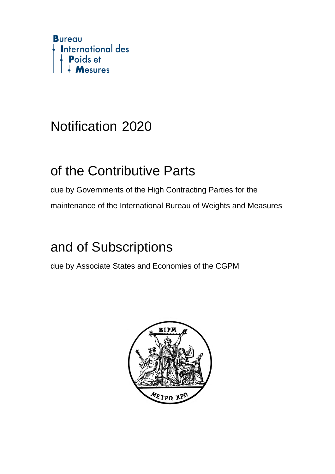

## Notification 2020

### of the Contributive Parts

due by Governments of the High Contracting Parties for the maintenance of the International Bureau of Weights and Measures

## and of Subscriptions

due by Associate States and Economies of the CGPM

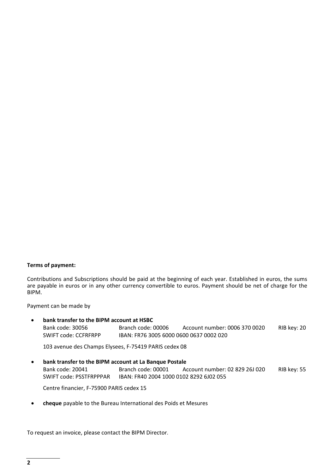#### **Terms of payment:**

Contributions and Subscriptions should be paid at the beginning of each year. Established in euros, the sums are payable in euros or in any other currency convertible to euros. Payment should be net of charge for the BIPM.

Payment can be made by

 **bank transfer to the BIPM account at HSBC** Bank code: 30056 Branch code: 00006 Account number: 0006 370 0020 RIB key: 20 SWIFT code: CCFRFRPP IBAN: FR76 3005 6000 0600 0637 0002 020

103 avenue des Champs Elysees, F‐75419 PARIS cedex 08

 **bank transfer to the BIPM account at La Banque Postale** Bank code: 20041 Branch code: 00001 Account number: 02 829 26J 020 RIB key: 55 SWIFT code: PSSTFRPPPAR IBAN: FR40 2004 1000 0102 8292 6J02 055

Centre financier, F‐75900 PARIS cedex 15

**cheque** payable to the Bureau International des Poids et Mesures

To request an invoice, please contact the BIPM Director.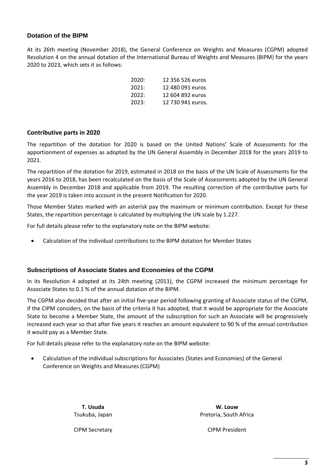#### **Dotation of the BIPM**

At its 26th meeting (November 2018), the General Conference on Weights and Measures (CGPM) adopted Resolution 4 on the annual dotation of the International Bureau of Weights and Measures (BIPM) for the years 2020 to 2023, which sets it as follows:

| 2020: | 12 356 526 euros  |
|-------|-------------------|
| 2021: | 12 480 091 euros  |
| 2022: | 12 604 892 euros  |
| 2023: | 12 730 941 euros. |

#### **Contributive parts in 2020**

The repartition of the dotation for 2020 is based on the United Nations' Scale of Assessments for the apportionment of expenses as adopted by the UN General Assembly in December 2018 for the years 2019 to 2021.

The repartition of the dotation for 2019, estimated in 2018 on the basis of the UN Scale of Assessments for the years 2016 to 2018, has been recalculated on the basis of the Scale of Assessments adopted by the UN General Assembly in December 2018 and applicable from 2019. The resulting correction of the contributive parts for the year 2019 is taken into account in the present Notification for 2020.

Those Member States marked with an asterisk pay the maximum or minimum contribution. Except for these States, the repartition percentage is calculated by multiplying the UN scale by 1.227.

For full details please refer to the explanatory note on the BIPM website:

Calculation of the individual contributions to the BIPM dotation for Member States

#### **Subscriptions of Associate States and Economies of the CGPM**

In its Resolution 4 adopted at its 24th meeting (2011), the CGPM increased the minimum percentage for Associate States to 0.1 % of the annual dotation of the BIPM.

The CGPM also decided that after an initial five‐year period following granting of Associate status of the CGPM, if the CIPM considers, on the basis of the criteria it has adopted, that it would be appropriate for the Associate State to become a Member State, the amount of the subscription for such an Associate will be progressively increased each year so that after five years it reaches an amount equivalent to 90 % of the annual contribution it would pay as a Member State.

For full details please refer to the explanatory note on the BIPM website:

 Calculation of the individual subscriptions for Associates (States and Economies) of the General Conference on Weights and Measures (CGPM)

> **T. Usuda** Tsukuba, Japan

**W. Louw** Pretoria, South Africa

CIPM Secretary

CIPM President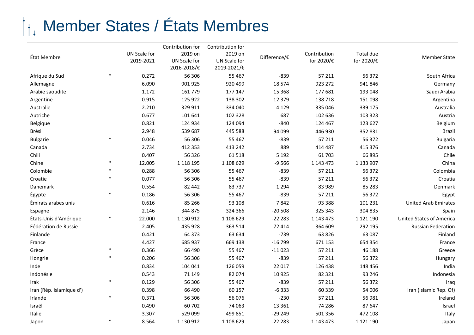## Member States / États Membres

|                          |        |              | Contribution for | Contribution for |              |              |            |                                 |
|--------------------------|--------|--------------|------------------|------------------|--------------|--------------|------------|---------------------------------|
| État Membre              |        | UN Scale for | 2019 on          | 2019 on          | Difference/€ | Contribution | Total due  | <b>Member State</b>             |
|                          |        | 2019-2021    | UN Scale for     | UN Scale for     |              | for 2020/€   | for 2020/€ |                                 |
|                          |        |              | 2016-2018/€      | 2019-2021/€      |              |              |            |                                 |
| Afrique du Sud           | $\ast$ | 0.272        | 56 306           | 55 4 67          | $-839$       | 57 211       | 56 372     | South Africa                    |
| Allemagne                |        | 6.090        | 901 925          | 920 499          | 18 5 74      | 923 272      | 941 846    | Germany                         |
| Arabie saoudite          |        | 1.172        | 161 779          | 177 147          | 15 3 68      | 177 681      | 193 048    | Saudi Arabia                    |
| Argentine                |        | 0.915        | 125 922          | 138 302          | 12 3 7 9     | 138 718      | 151 098    | Argentina                       |
| Australie                |        | 2.210        | 329 911          | 334 040          | 4 1 2 9      | 335 046      | 339 175    | Australia                       |
| Autriche                 |        | 0.677        | 101 641          | 102 328          | 687          | 102 636      | 103 323    | Austria                         |
| Belgique                 |        | 0.821        | 124 934          | 124 094          | $-840$       | 124 467      | 123 627    | Belgium                         |
| Brésil                   |        | 2.948        | 539 687          | 445 588          | -94 099      | 446 930      | 352 831    | <b>Brazil</b>                   |
| <b>Bulgarie</b>          | $\ast$ | 0.046        | 56 306           | 55 4 67          | $-839$       | 57 211       | 56 372     | <b>Bulgaria</b>                 |
| Canada                   |        | 2.734        | 412 353          | 413 242          | 889          | 414 487      | 415 376    | Canada                          |
| Chili                    |        | 0.407        | 56 326           | 61 518           | 5 1 9 2      | 61703        | 66 895     | Chile                           |
| Chine                    |        | 12.005       | 1 1 18 1 95      | 1 108 629        | $-9566$      | 1 143 473    | 1 133 907  | China                           |
| Colombie                 |        | 0.288        | 56 306           | 55 4 67          | $-839$       | 57 211       | 56 372     | Colombia                        |
| Croatie                  |        | 0.077        | 56 306           | 55 4 67          | $-839$       | 57 211       | 56 372     | Croatia                         |
| Danemark                 |        | 0.554        | 82 442           | 83737            | 1 2 9 4      | 83 989       | 85 283     | Denmark                         |
| Égypte                   | $\ast$ | 0.186        | 56 306           | 55 4 67          | $-839$       | 57 211       | 56 372     | Egypt                           |
| Émirats arabes unis      |        | 0.616        | 85 266           | 93 108           | 7842         | 93 3 88      | 101 231    | <b>United Arab Emirates</b>     |
| Espagne                  |        | 2.146        | 344 875          | 324 366          | $-20508$     | 325 343      | 304 835    | Spain                           |
| États-Unis d'Amérique    |        | 22.000       | 1 130 912        | 1 108 629        | $-22223$     | 1 143 473    | 1 121 190  | <b>United States of America</b> |
| Fédération de Russie     |        | 2.405        | 435 928          | 363 514          | $-72414$     | 364 609      | 292 195    | <b>Russian Federation</b>       |
| Finlande                 |        | 0.421        | 64 3 7 3         | 63 634           | $-739$       | 63 8 26      | 63 087     | Finland                         |
| France                   |        | 4.427        | 685 937          | 669 138          | $-16799$     | 671 153      | 654 354    | France                          |
| Grèce                    | $\ast$ | 0.366        | 66 490           | 55 4 67          | $-11023$     | 57 211       | 46 188     | Greece                          |
| Hongrie                  | $\ast$ | 0.206        | 56 306           | 55 4 67          | $-839$       | 57 211       | 56 372     | Hungary                         |
| Inde                     |        | 0.834        | 104 041          | 126 059          | 22 017       | 126 438      | 148 456    | India                           |
| Indonésie                |        | 0.543        | 71 149           | 82 074           | 10925        | 82 321       | 93 246     | Indonesia                       |
| Irak                     | $\ast$ | 0.129        | 56 306           | 55 467           | $-839$       | 57 211       | 56 372     | Iraq                            |
| Iran (Rép. islamique d') |        | 0.398        | 66 490           | 60 157           | $-6333$      | 60 339       | 54 006     | Iran (Islamic Rep. Of)          |
| Irlande                  | $\ast$ | 0.371        | 56 306           | 56 0 76          | $-230$       | 57 211       | 56 981     | Ireland                         |
| Israël                   |        | 0.490        | 60702            | 74 063           | 13 3 6 1     | 74 286       | 87 647     | Israel                          |
| Italie                   |        | 3.307        | 529 099          | 499 851          | $-29249$     | 501 356      | 472 108    | Italy                           |
| Japon                    | $\ast$ | 8.564        | 1 130 912        | 1 108 629        | $-22223$     | 1 143 473    | 1 121 190  | Japan                           |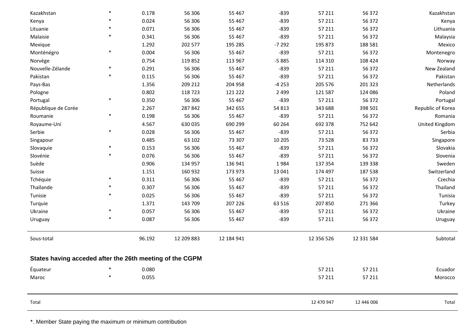| Kazakhstan                                               | $\ast$ | 0.178  | 56 306     | 55 4 67    | $-839$  | 57 211     | 56 372     | Kazakhstan        |
|----------------------------------------------------------|--------|--------|------------|------------|---------|------------|------------|-------------------|
| Kenya                                                    |        | 0.024  | 56 306     | 55 467     | $-839$  | 57 211     | 56 372     | Kenya             |
| Lituanie                                                 | *      | 0.071  | 56 306     | 55 467     | $-839$  | 57 211     | 56 372     | Lithuania         |
| Malaisie                                                 | $\ast$ | 0.341  | 56 306     | 55 467     | $-839$  | 57 211     | 56 372     | Malaysia          |
| Mexique                                                  |        | 1.292  | 202 577    | 195 285    | $-7292$ | 195 873    | 188 581    | Mexico            |
| Monténégro                                               | $\ast$ | 0.004  | 56 306     | 55 467     | $-839$  | 57 211     | 56 372     | Montenegro        |
| Norvège                                                  |        | 0.754  | 119852     | 113 967    | $-5885$ | 114 310    | 108 424    | Norway            |
| Nouvelle-Zélande                                         | $\ast$ | 0.291  | 56 306     | 55 467     | $-839$  | 57 211     | 56 372     | New Zealand       |
| Pakistan                                                 | $\ast$ | 0.115  | 56 306     | 55 467     | $-839$  | 57 211     | 56 372     | Pakistan          |
| Pays-Bas                                                 |        | 1.356  | 209 212    | 204 958    | $-4253$ | 205 576    | 201 323    | Netherlands       |
| Pologne                                                  |        | 0.802  | 118723     | 121 222    | 2 4 9 9 | 121 587    | 124 086    | Poland            |
| Portugal                                                 | $\ast$ | 0.350  | 56 306     | 55 467     | $-839$  | 57 211     | 56 372     | Portugal          |
| République de Corée                                      |        | 2.267  | 287 842    | 342 655    | 54 813  | 343 688    | 398 501    | Republic of Korea |
| Roumanie                                                 | $\ast$ | 0.198  | 56 306     | 55 467     | $-839$  | 57 211     | 56 372     | Romania           |
| Royaume-Uni                                              |        | 4.567  | 630 035    | 690 299    | 60 264  | 692 378    | 752 642    | United Kingdom    |
| Serbie                                                   | $\ast$ | 0.028  | 56 306     | 55 4 67    | $-839$  | 57 211     | 56 372     | Serbia            |
| Singapour                                                |        | 0.485  | 63 102     | 73 307     | 10 205  | 73 528     | 83733      | Singapore         |
| Slovaquie                                                | $\ast$ | 0.153  | 56 306     | 55 467     | $-839$  | 57 211     | 56 372     | Slovakia          |
| Slovénie                                                 | $\ast$ | 0.076  | 56 306     | 55 467     | $-839$  | 57 211     | 56 372     | Slovenia          |
| Suède                                                    |        | 0.906  | 134 957    | 136 941    | 1984    | 137 354    | 139 338    | Sweden            |
| Suisse                                                   |        | 1.151  | 160 932    | 173 973    | 13 041  | 174 497    | 187 538    | Switzerland       |
| Tchéquie                                                 | $\ast$ | 0.311  | 56 306     | 55 467     | $-839$  | 57 211     | 56 372     | Czechia           |
| Thaïlande                                                |        | 0.307  | 56 306     | 55 467     | $-839$  | 57 211     | 56 372     | Thailand          |
| Tunisie                                                  | $\ast$ | 0.025  | 56 306     | 55 467     | $-839$  | 57 211     | 56 372     | Tunisia           |
| Turquie                                                  |        | 1.371  | 143 709    | 207 226    | 63 516  | 207 850    | 271 366    | Turkey            |
| Ukraine                                                  | $\ast$ | 0.057  | 56 306     | 55 467     | $-839$  | 57 211     | 56 372     | Ukraine           |
| Uruguay                                                  | $\ast$ | 0.087  | 56 306     | 55 467     | $-839$  | 57 211     | 56 372     | Uruguay           |
| Sous-total                                               |        | 96.192 | 12 209 883 | 12 184 941 |         | 12 356 526 | 12 331 584 | Subtotal          |
| States having acceded after the 26th meeting of the CGPM |        |        |            |            |         |            |            |                   |
| Équateur                                                 |        | 0.080  |            |            |         | 57 211     | 57 211     | Ecuador           |
| Maroc                                                    | *      | 0.055  |            |            |         | 57 211     | 57 211     | Morocco           |
|                                                          |        |        |            |            |         |            |            |                   |
| Total                                                    |        |        |            |            |         | 12 470 947 | 12 446 006 | Total             |

\*. Member State paying the maximum or minimum contribution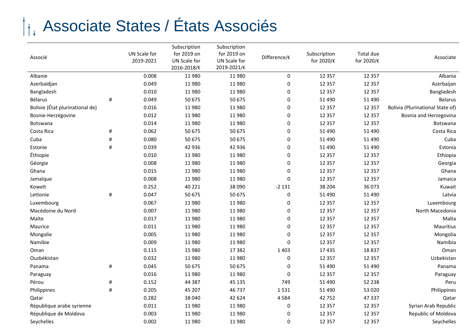# Associate States / États Associés

| Associé                         |      | UN Scale for<br>2019-2021 | Subscription<br>for 2019 on<br>UN Scale for<br>2016-2018/€ | Subscription<br>for 2019 on<br>UN Scale for<br>2019-2021/€ | Difference/€     | Subscription<br>for 2020/€ | Total due<br>for 2020/€ | Associate                        |
|---------------------------------|------|---------------------------|------------------------------------------------------------|------------------------------------------------------------|------------------|----------------------------|-------------------------|----------------------------------|
| Albanie                         |      | 0.008                     | 11 980                                                     | 11980                                                      | 0                | 12 3 5 7                   | 12 3 5 7                | Albania                          |
| Azerbaïdjan                     |      | 0.049                     | 11980                                                      | 11980                                                      | 0                | 12 3 5 7                   | 12 3 5 7                | Azerbaijan                       |
| Bangladesh                      |      | 0.010                     | 11980                                                      | 11980                                                      | 0                | 12 3 5 7                   | 12 3 5 7                | Bangladesh                       |
| Bélarus                         | #    | 0.049                     | 50 675                                                     | 50 675                                                     | 0                | 51 490                     | 51 490                  | <b>Belarus</b>                   |
| Bolivie (État plurinational de) |      | 0.016                     | 11 980                                                     | 11980                                                      | $\pmb{0}$        | 12 3 5 7                   | 12 3 5 7                | Bolivia (Plurinational State of) |
| Bosnie-Herzégovine              |      | 0.012                     | 11980                                                      | 11980                                                      | 0                | 12 3 5 7                   | 12 3 5 7                | Bosnia and Herzegovina           |
| Botswana                        |      | 0.014                     | 11980                                                      | 11980                                                      | 0                | 12 3 5 7                   | 12 3 5 7                | Botswana                         |
| Costa Rica                      | $\#$ | 0.062                     | 50 675                                                     | 50 675                                                     | 0                | 51 490                     | 51 490                  | Costa Rica                       |
| Cuba                            | #    | 0.080                     | 50 675                                                     | 50 675                                                     | 0                | 51 4 90                    | 51 490                  | Cuba                             |
| Estonie                         | #    | 0.039                     | 42 936                                                     | 42 936                                                     | 0                | 51 490                     | 51 490                  | Estonia                          |
| Éthiopie                        |      | 0.010                     | 11980                                                      | 11980                                                      | 0                | 12 3 5 7                   | 12 3 5 7                | Ethiopia                         |
| Géorgie                         |      | 0.008                     | 11 980                                                     | 11980                                                      | 0                | 12 3 5 7                   | 12 3 5 7                | Georgia                          |
| Ghana                           |      | 0.015                     | 11980                                                      | 11980                                                      | 0                | 12 3 5 7                   | 12 3 5 7                | Ghana                            |
| Jamaïque                        |      | 0.008                     | 11 980                                                     | 11980                                                      | 0                | 12 3 5 7                   | 12 3 5 7                | Jamaica                          |
| Koweït                          |      | 0.252                     | 40 221                                                     | 38 090                                                     | $-2131$          | 38 204                     | 36 073                  | Kuwait                           |
| Lettonie                        | $\#$ | 0.047                     | 50 675                                                     | 50 675                                                     | 0                | 51 490                     | 51 490                  | Latvia                           |
| Luxembourg                      |      | 0.067                     | 11980                                                      | 11980                                                      | 0                | 12 3 5 7                   | 12 3 5 7                | Luxembourg                       |
| Macédoine du Nord               |      | 0.007                     | 11980                                                      | 11980                                                      | 0                | 12 3 5 7                   | 12 3 5 7                | North Macedonia                  |
| Malte                           |      | 0.017                     | 11980                                                      | 11980                                                      | 0                | 12 3 5 7                   | 12 3 5 7                | Malta                            |
| Maurice                         |      | 0.011                     | 11980                                                      | 11980                                                      | 0                | 12 3 5 7                   | 12 3 5 7                | Mauritius                        |
| Mongolie                        |      | 0.005                     | 11980                                                      | 11980                                                      | 0                | 12 3 5 7                   | 12 3 5 7                | Mongolia                         |
| Namibie                         |      | 0.009                     | 11980                                                      | 11980                                                      | 0                | 12 3 5 7                   | 12 3 5 7                | Namibia                          |
| Oman                            |      | 0.115                     | 15 980                                                     | 17382                                                      | 1 4 0 3          | 17435                      | 18837                   | Oman                             |
| Ouzbékistan                     |      | 0.032                     | 11980                                                      | 11980                                                      | 0                | 12 3 5 7                   | 12 3 5 7                | Uzbekistan                       |
| Panama                          | $\#$ | 0.045                     | 50 675                                                     | 50 675                                                     | 0                | 51 490                     | 51 490                  | Panama                           |
| Paraguay                        |      | 0.016                     | 11 980                                                     | 11980                                                      | $\boldsymbol{0}$ | 12 3 5 7                   | 12 3 5 7                | Paraguay                         |
| Pérou                           | #    | 0.152                     | 44 387                                                     | 45 135                                                     | 749              | 51 490                     | 52 238                  | Peru                             |
| Philippines                     | $\#$ | 0.205                     | 45 207                                                     | 46737                                                      | 1531             | 51 490                     | 53 0 20                 | Philippines                      |
| Qatar                           |      | 0.282                     | 38 040                                                     | 42 624                                                     | 4584             | 42752                      | 47 337                  | Qatar                            |
| République arabe syrienne       |      | 0.011                     | 11980                                                      | 11980                                                      | 0                | 12 3 5 7                   | 12 3 5 7                | Syrian Arab Republic             |
| République de Moldova           |      | 0.003                     | 11980                                                      | 11 980                                                     | 0                | 12 3 5 7                   | 12 3 5 7                | Republic of Moldova              |
| Seychelles                      |      | 0.002                     | 11 980                                                     | 11980                                                      | 0                | 12 3 5 7                   | 12 3 5 7                | Seychelles                       |